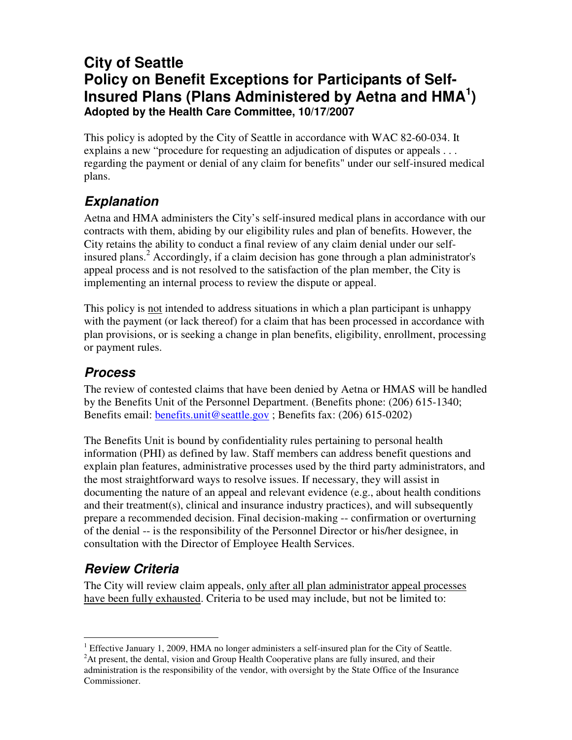## **City of Seattle Policy on Benefit Exceptions for Participants of Self-Insured Plans (Plans Administered by Aetna and HMA 1 ) Adopted by the Health Care Committee, 10/17/2007**

This policy is adopted by the City of Seattle in accordance with WAC 82-60-034. It explains a new "procedure for requesting an adjudication of disputes or appeals . . . regarding the payment or denial of any claim for benefits" under our self-insured medical plans.

# *Explanation*

Aetna and HMA administers the City's self-insured medical plans in accordance with our contracts with them, abiding by our eligibility rules and plan of benefits. However, the City retains the ability to conduct a final review of any claim denial under our selfinsured plans. <sup>2</sup> Accordingly, if a claim decision has gone through a plan administrator's appeal process and is not resolved to the satisfaction of the plan member, the City is implementing an internal process to review the dispute or appeal.

This policy is not intended to address situations in which a plan participant is unhappy with the payment (or lack thereof) for a claim that has been processed in accordance with plan provisions, or is seeking a change in plan benefits, eligibility, enrollment, processing or payment rules.

#### *Process*

The review of contested claims that have been denied by Aetna or HMAS will be handled by the Benefits Unit of the Personnel Department. (Benefits phone: (206) 615-1340; Benefits email: benefits.unit@seattle.gov ; Benefits fax: (206) 615-0202)

The Benefits Unit is bound by confidentiality rules pertaining to personal health information (PHI) as defined by law. Staff members can address benefit questions and explain plan features, administrative processes used by the third party administrators, and the most straightforward ways to resolve issues. If necessary, they will assist in documenting the nature of an appeal and relevant evidence (e.g., about health conditions and their treatment(s), clinical and insurance industry practices), and will subsequently prepare a recommended decision. Final decision-making -- confirmation or overturning of the denial -- is the responsibility of the Personnel Director or his/her designee, in consultation with the Director of Employee Health Services.

## *Review Criteria*

The City will review claim appeals, only after all plan administrator appeal processes have been fully exhausted. Criteria to be used may include, but not be limited to:

<sup>&</sup>lt;sup>1</sup> Effective January 1, 2009, HMA no longer administers a self-insured plan for the City of Seattle. <sup>2</sup>At present, the dental, vision and Group Health Cooperative plans are fully insured, and their administration is the responsibility of the vendor, with oversight by the State Office of the Insurance Commissioner.